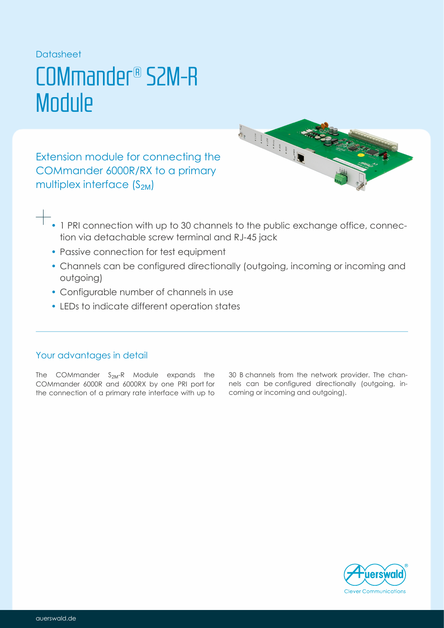### Datasheet

# COMmander® S2M-R **Module**

Extension module for connecting the COMmander 6000R/RX to a primary multiplex interface  $(S_{2M})$ 



- 1 PRI connection with up to 30 channels to the public exchange office, connection via detachable screw terminal and RJ-45 jack
- Passive connection for test equipment
- Channels can be configured directionally (outgoing, incoming or incoming and outgoing)
- Configurable number of channels in use
- LEDs to indicate different operation states

## Your advantages in detail

The COMmander S<sub>2M</sub>-R Module expands the COMmander 6000R and 6000RX by one PRI port for the connection of a primary rate interface with up to 30 B channels from the network provider. The channels can be configured directionally (outgoing, incoming or incoming and outgoing).